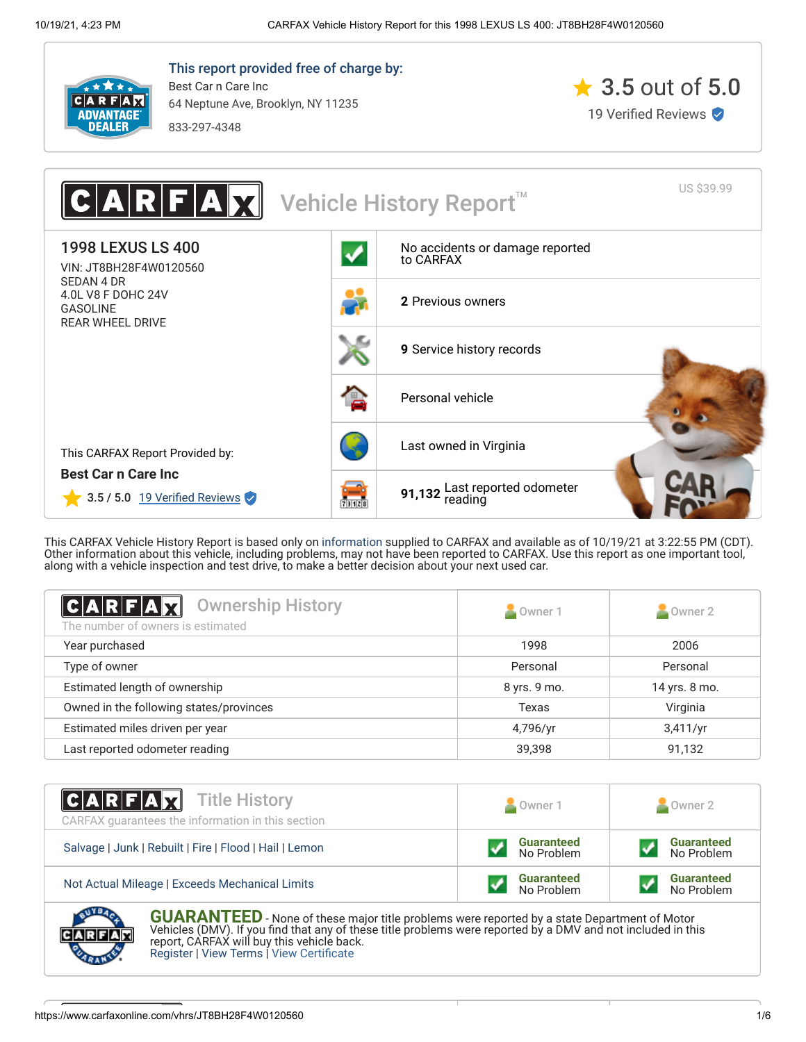

This report provided free of charge by: Best Car n Care Inc 64 Neptune Ave, Brooklyn, NY 11235

833-297-4348





This CARFAX Vehicle History Report is based only on [information](http://www.carfax.com/company/vhr-data-sources) supplied to CARFAX and available as of 10/19/21 at 3:22:55 PM (CDT). Other information about this vehicle, including problems, may not have been reported to CARFAX. Use this report as one important tool, along with a vehicle inspection and test drive, to make a better decision about your next used car.

<span id="page-0-1"></span>

| C A R F A Y <br><b>Ownership History</b><br>The number of owners is estimated | Owner 1      | $\sim$ Owner 2 |
|-------------------------------------------------------------------------------|--------------|----------------|
| Year purchased                                                                | 1998         | 2006           |
| Type of owner                                                                 | Personal     | Personal       |
| Estimated length of ownership                                                 | 8 yrs. 9 mo. | 14 yrs. 8 mo.  |
| Owned in the following states/provinces                                       | Texas        | Virginia       |
| Estimated miles driven per year                                               | 4,796/yr     | 3,411/yr       |
| Last reported odometer reading                                                | 39,398       | 91,132         |

| <b>CARFAX</b> Title History<br>CARFAX guarantees the information in this section | Owner 1                         | Owner 2                         |  |
|----------------------------------------------------------------------------------|---------------------------------|---------------------------------|--|
| Salvage   Junk   Rebuilt   Fire   Flood   Hail   Lemon                           | <b>Guaranteed</b><br>No Problem | <b>Guaranteed</b><br>No Problem |  |
| Not Actual Mileage   Exceeds Mechanical Limits                                   | <b>Guaranteed</b><br>No Problem | <b>Guaranteed</b><br>No Problem |  |

<span id="page-0-0"></span>**GUARANTEED** - None of these major title problems were reported by a state Department of Motor Vehicles (DMV). If you find that any of these title problems were reported by a DMV and not included in this report, CARFAX will buy this vehicle back. [Register](https://www.carfax.com/Service/bbg) | [View Terms](http://www.carfaxonline.com/legal/bbgTerms) | [View Certificate](https://www.carfaxonline.com/vhrs/JT8BH28F4W0120560)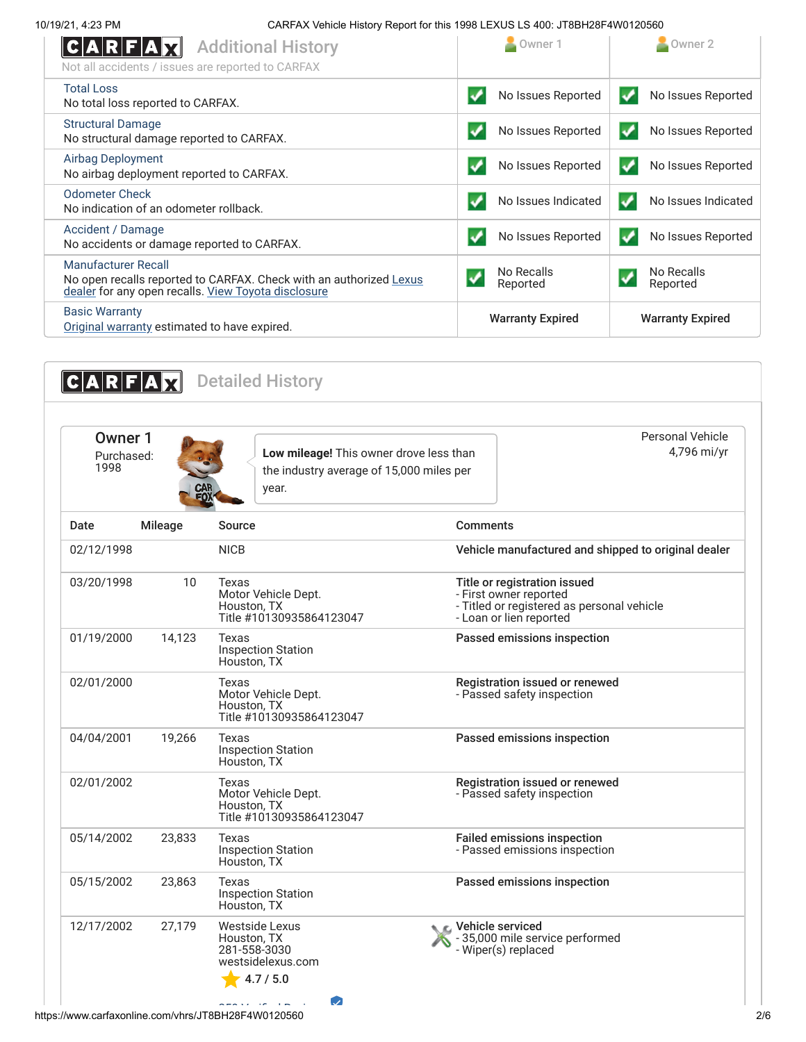10/19/21, 4:23 PM CARFAX Vehicle History Report for this 1998 LEXUS LS 400: JT8BH28F4W0120560

| $ {\bf C} {\bf A} {\bf R} {\bf F} {\bf A} $<br><b>Additional History</b><br>Not all accidents / issues are reported to CARFAX                           | Owner 1                  | Owner 2                                |
|---------------------------------------------------------------------------------------------------------------------------------------------------------|--------------------------|----------------------------------------|
| <b>Total Loss</b><br>No total loss reported to CARFAX.                                                                                                  | No Issues Reported<br>✓  | No Issues Reported<br>✓                |
| <b>Structural Damage</b><br>No structural damage reported to CARFAX.                                                                                    | No Issues Reported       | No Issues Reported<br>✔                |
| <b>Airbag Deployment</b><br>No airbag deployment reported to CARFAX.                                                                                    | No Issues Reported       | No Issues Reported<br>$\boldsymbol{v}$ |
| <b>Odometer Check</b><br>No indication of an odometer rollback.                                                                                         | No Issues Indicated<br>✓ | No Issues Indicated<br>✓               |
| Accident / Damage<br>No accidents or damage reported to CARFAX.                                                                                         | No Issues Reported       | No Issues Reported<br>$\bullet$        |
| <b>Manufacturer Recall</b><br>No open recalls reported to CARFAX. Check with an authorized Lexus<br>dealer for any open recalls. View Toyota disclosure | No Recalls<br>Reported   | No Recalls<br>Reported                 |
| <b>Basic Warranty</b><br>Original warranty estimated to have expired.                                                                                   | <b>Warranty Expired</b>  | <b>Warranty Expired</b>                |

<span id="page-1-0"></span>

| Mileage | Source                                                                                 |                                                                                                                                 |
|---------|----------------------------------------------------------------------------------------|---------------------------------------------------------------------------------------------------------------------------------|
|         |                                                                                        | <b>Comments</b>                                                                                                                 |
|         | <b>NICB</b>                                                                            | Vehicle manufactured and shipped to original dealer                                                                             |
| 10      | Texas<br>Motor Vehicle Dept.<br>Houston, TX<br>Title #10130935864123047                | Title or registration issued<br>- First owner reported<br>- Titled or registered as personal vehicle<br>- Loan or lien reported |
| 14.123  | Texas<br><b>Inspection Station</b><br>Houston, TX                                      | Passed emissions inspection                                                                                                     |
|         | Texas<br>Motor Vehicle Dept.<br>Houston, TX<br>Title #10130935864123047                | Registration issued or renewed<br>- Passed safety inspection                                                                    |
| 19,266  | Texas<br><b>Inspection Station</b><br>Houston, TX                                      | Passed emissions inspection                                                                                                     |
|         | <b>Texas</b><br>Motor Vehicle Dept.<br>Houston, TX<br>Title #10130935864123047         | Registration issued or renewed<br>- Passed safety inspection                                                                    |
| 23,833  | Texas<br><b>Inspection Station</b><br>Houston, TX                                      | <b>Failed emissions inspection</b><br>- Passed emissions inspection                                                             |
| 23,863  | Texas<br><b>Inspection Station</b><br>Houston, TX                                      | Passed emissions inspection                                                                                                     |
| 27,179  | <b>Westside Lexus</b><br>Houston, TX<br>281-558-3030<br>westsidelexus.com<br>4.7 / 5.0 | Vehicle serviced<br>-35,000 mile service performed<br>- Wiper(s) replaced                                                       |
|         |                                                                                        | $\omega$<br>استعارتهم المعاشية                                                                                                  |

https://www.carfaxonline.com/vhrs/JT8BH28F4W0120560 2/6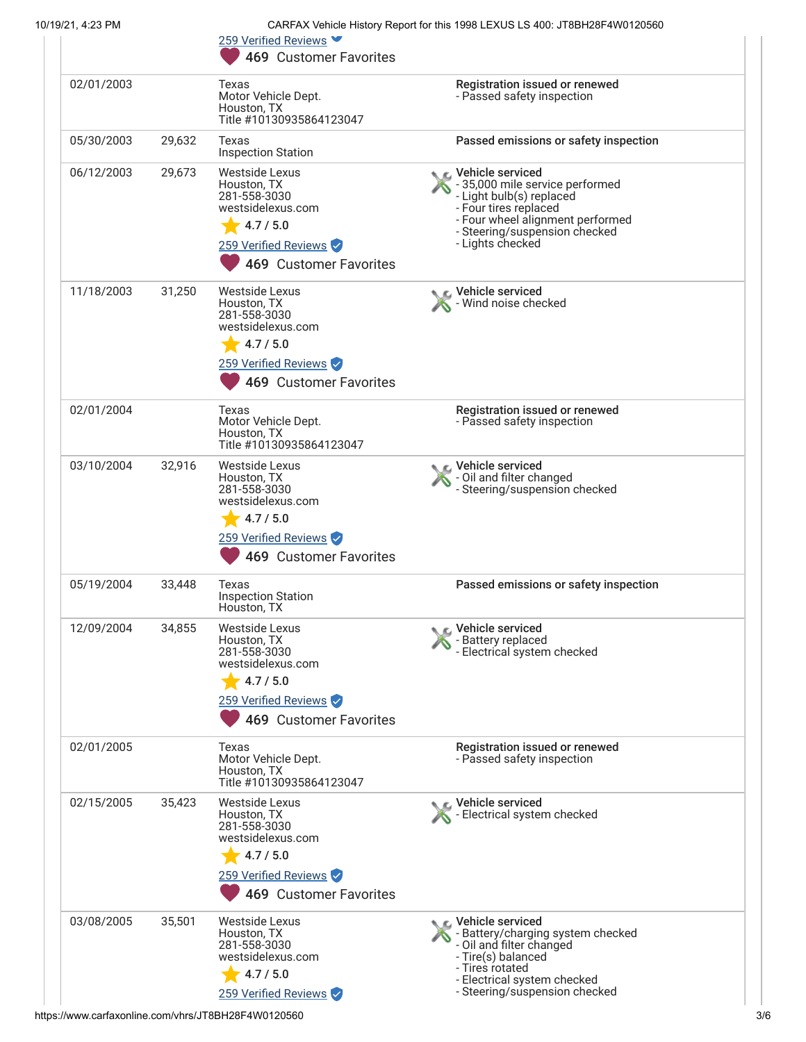| 10/19/21, 4:23 PM |        | CARFAX Vehicle History Report for this 1998 LEXUS LS 400: JT8BH28F4W0120560                                                              |                                                                                                                                                                                                   |  |
|-------------------|--------|------------------------------------------------------------------------------------------------------------------------------------------|---------------------------------------------------------------------------------------------------------------------------------------------------------------------------------------------------|--|
|                   |        | 259 Verified Reviews ▼<br><b>469 Customer Favorites</b>                                                                                  |                                                                                                                                                                                                   |  |
| 02/01/2003        |        | Texas<br>Motor Vehicle Dept.<br>Houston, TX<br>Title #10130935864123047                                                                  | Registration issued or renewed<br>- Passed safety inspection                                                                                                                                      |  |
| 05/30/2003        | 29,632 | Texas<br><b>Inspection Station</b>                                                                                                       | Passed emissions or safety inspection                                                                                                                                                             |  |
| 06/12/2003        | 29,673 | <b>Westside Lexus</b><br>Houston, TX<br>281-558-3030<br>westsidelexus.com<br>4.7 / 5.0<br>259 Verified Reviews<br>469 Customer Favorites | Vehicle serviced<br>- 35,000 mile service performed<br>- Light bulb(s) replaced<br>- Four tires replaced<br>- Four wheel alignment performed<br>- Steering/suspension checked<br>- Lights checked |  |
| 11/18/2003        | 31,250 | Westside Lexus<br>Houston, TX<br>281-558-3030<br>westsidelexus.com<br>4.7 / 5.0<br>259 Verified Reviews<br>469 Customer Favorites        | Vehicle serviced<br>Wind noise checked                                                                                                                                                            |  |
| 02/01/2004        |        | Texas<br>Motor Vehicle Dept.<br>Houston, TX<br>Title #10130935864123047                                                                  | Registration issued or renewed<br>- Passed safety inspection                                                                                                                                      |  |
| 03/10/2004        | 32,916 | Westside Lexus<br>Houston, TX<br>281-558-3030<br>westsidelexus.com<br>4.7 / 5.0<br>259 Verified Reviews<br>469 Customer Favorites        | Vehicle serviced<br>- Oil and filter changed<br>- Steering/suspension checked                                                                                                                     |  |
| 05/19/2004        | 33,448 | Texas<br><b>Inspection Station</b><br>Houston, TX                                                                                        | Passed emissions or safety inspection                                                                                                                                                             |  |
| 12/09/2004        | 34,855 | Westside Lexus<br>Houston, TX<br>281-558-3030<br>westsidelexus.com<br>4.7 / 5.0<br>259 Verified Reviews<br>469 Customer Favorites        | C Vehicle serviced<br>- Battery replaced<br>- Electrical system checked                                                                                                                           |  |
| 02/01/2005        |        | Texas<br>Motor Vehicle Dept.<br>Houston, TX<br>Title #10130935864123047                                                                  | Registration issued or renewed<br>- Passed safety inspection                                                                                                                                      |  |
| 02/15/2005        | 35,423 | <b>Westside Lexus</b><br>Houston, TX<br>281-558-3030<br>westsidelexus.com<br>4.7 / 5.0<br>259 Verified Reviews<br>469 Customer Favorites | Vehicle serviced<br>- Electrical system checked                                                                                                                                                   |  |
| 03/08/2005        | 35,501 | <b>Westside Lexus</b><br>Houston, TX<br>281-558-3030<br>westsidelexus.com<br>4.7 / 5.0<br>259 Verified Reviews                           | L Vehicle serviced<br>- Battery/charging system checked<br>- Oil and filter changed<br>- Tire(s) balanced<br>- Tires rotated<br>- Electrical system checked<br>- Steering/suspension checked      |  |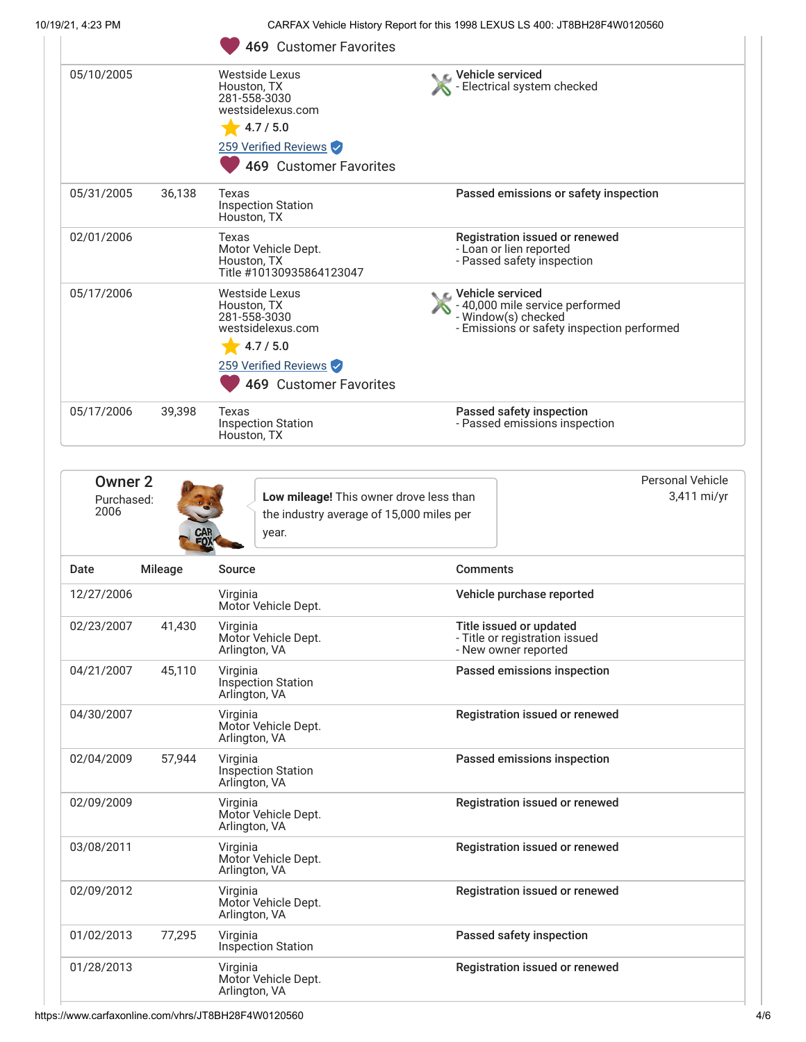10/19/21, 4:23 PM CARFAX Vehicle History Report for this 1998 LEXUS LS 400: JT8BH28F4W0120560

|            |        | <b>469 Customer Favorites</b>                                                                                                     |                                                                                                                            |
|------------|--------|-----------------------------------------------------------------------------------------------------------------------------------|----------------------------------------------------------------------------------------------------------------------------|
| 05/10/2005 |        | Westside Lexus<br>Houston, TX<br>281-558-3030<br>westsidelexus.com<br>4.7 / 5.0<br>259 Verified Reviews<br>469 Customer Favorites | Vehicle serviced<br>- Electrical system checked                                                                            |
| 05/31/2005 | 36,138 | Texas<br><b>Inspection Station</b><br>Houston, TX                                                                                 | Passed emissions or safety inspection                                                                                      |
| 02/01/2006 |        | Texas<br>Motor Vehicle Dept.<br>Houston, TX<br>Title #10130935864123047                                                           | Registration issued or renewed<br>- Loan or lien reported<br>- Passed safety inspection                                    |
| 05/17/2006 |        | Westside Lexus<br>Houston, TX<br>281-558-3030<br>westsidelexus.com<br>4.7 / 5.0<br>259 Verified Reviews<br>469 Customer Favorites | C Vehicle serviced<br>- 40,000 mile service performed<br>- Window(s) checked<br>- Emissions or safety inspection performed |
| 05/17/2006 | 39,398 | Texas<br><b>Inspection Station</b><br>Houston, TX                                                                                 | Passed safety inspection<br>- Passed emissions inspection                                                                  |

| Owner 2<br>Purchased:<br>2006 | CAR<br>FOX     | Low mileage! This owner drove less than<br>the industry average of 15,000 miles per<br>year. |                                                                                   | Personal Vehicle<br>3,411 mi/yr |
|-------------------------------|----------------|----------------------------------------------------------------------------------------------|-----------------------------------------------------------------------------------|---------------------------------|
| Date                          | <b>Mileage</b> | Source                                                                                       | <b>Comments</b>                                                                   |                                 |
| 12/27/2006                    |                | Virginia<br>Motor Vehicle Dept.                                                              | Vehicle purchase reported                                                         |                                 |
| 02/23/2007                    | 41,430         | Virginia<br>Motor Vehicle Dept.<br>Arlington, VA                                             | Title issued or updated<br>- Title or registration issued<br>- New owner reported |                                 |
| 04/21/2007                    | 45,110         | Virginia<br><b>Inspection Station</b><br>Arlington, VA                                       | Passed emissions inspection                                                       |                                 |
| 04/30/2007                    |                | Virginia<br>Motor Vehicle Dept.<br>Arlington, VA                                             | Registration issued or renewed                                                    |                                 |
| 02/04/2009                    | 57,944         | Virginia<br><b>Inspection Station</b><br>Arlington, VA                                       | Passed emissions inspection                                                       |                                 |
| 02/09/2009                    |                | Virginia<br>Motor Vehicle Dept.<br>Arlington, VA                                             | Registration issued or renewed                                                    |                                 |
| 03/08/2011                    |                | Virginia<br>Motor Vehicle Dept.<br>Arlington, VA                                             | Registration issued or renewed                                                    |                                 |
| 02/09/2012                    |                | Virginia<br>Motor Vehicle Dept.<br>Arlington, VA                                             | Registration issued or renewed                                                    |                                 |
| 01/02/2013                    | 77,295         | Virginia<br><b>Inspection Station</b>                                                        | Passed safety inspection                                                          |                                 |
| 01/28/2013                    |                | Virginia<br>Motor Vehicle Dept.<br>Arlington, VA                                             | Registration issued or renewed                                                    |                                 |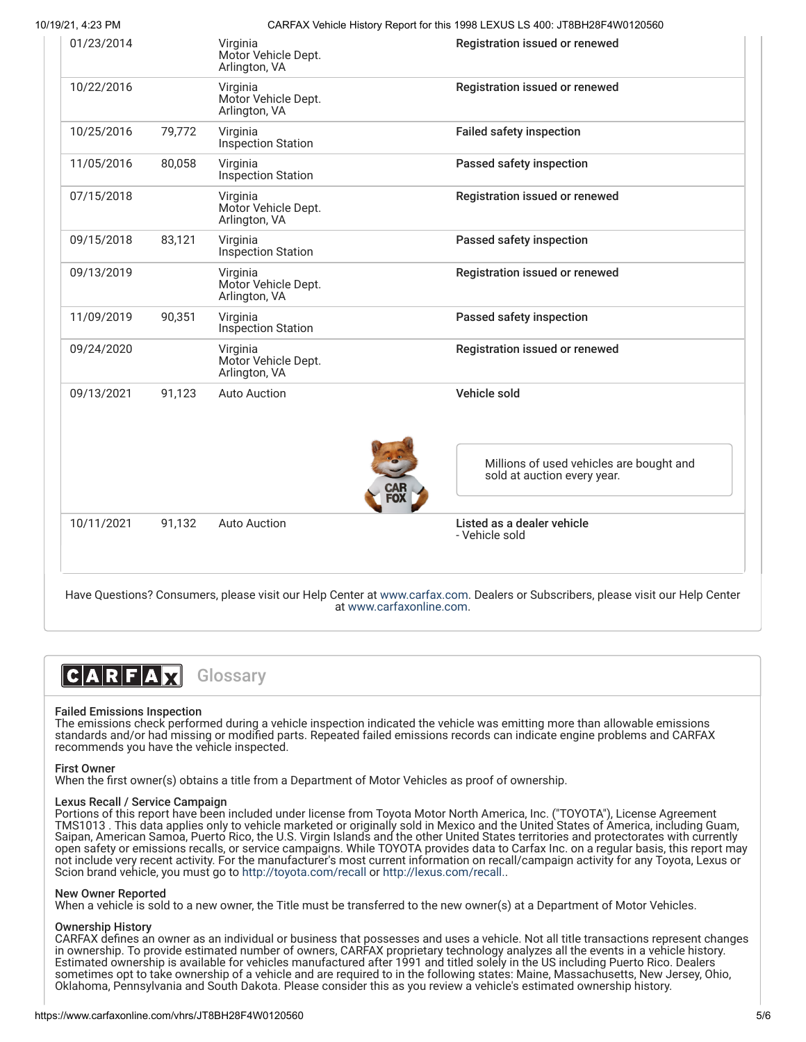10/19/21, 4:23 PM CARFAX Vehicle History Report for this 1998 LEXUS LS 400: JT8BH28F4W0120560

| 01/23/2014 |        | Virginia<br>Motor Vehicle Dept.<br>Arlington, VA | Registration issued or renewed                                          |
|------------|--------|--------------------------------------------------|-------------------------------------------------------------------------|
| 10/22/2016 |        | Virginia<br>Motor Vehicle Dept.<br>Arlington, VA | Registration issued or renewed                                          |
| 10/25/2016 | 79,772 | Virginia<br>Inspection Station                   | <b>Failed safety inspection</b>                                         |
| 11/05/2016 | 80,058 | Virginia<br><b>Inspection Station</b>            | Passed safety inspection                                                |
| 07/15/2018 |        | Virginia<br>Motor Vehicle Dept.<br>Arlington, VA | Registration issued or renewed                                          |
| 09/15/2018 | 83,121 | Virginia<br>Inspection Station                   | Passed safety inspection                                                |
| 09/13/2019 |        | Virginia<br>Motor Vehicle Dept.<br>Arlington, VA | Registration issued or renewed                                          |
| 11/09/2019 | 90,351 | Virginia<br>Inspection Station                   | Passed safety inspection                                                |
| 09/24/2020 |        | Virginia<br>Motor Vehicle Dept.<br>Arlington, VA | Registration issued or renewed                                          |
| 09/13/2021 | 91,123 | <b>Auto Auction</b>                              | Vehicle sold                                                            |
|            |        |                                                  | Millions of used vehicles are bought and<br>sold at auction every year. |
| 10/11/2021 | 91,132 | <b>Auto Auction</b>                              | Listed as a dealer vehicle<br>- Vehicle sold                            |

Have Questions? Consumers, please visit our Help Center at [www.carfax.com](http://www.carfax.com/help). Dealers or Subscribers, please visit our Help Center at [www.carfaxonline.com.](http://www.carfaxonline.com/)



## <span id="page-4-0"></span>Failed Emissions Inspection

The emissions check performed during a vehicle inspection indicated the vehicle was emitting more than allowable emissions standards and/or had missing or modified parts. Repeated failed emissions records can indicate engine problems and CARFAX recommends you have the vehicle inspected.

# First Owner

When the first owner(s) obtains a title from a Department of Motor Vehicles as proof of ownership.

## Lexus Recall / Service Campaign

Portions of this report have been included under license from Toyota Motor North America, Inc. ("TOYOTA"), License Agreement TMS1013 . This data applies only to vehicle marketed or originally sold in Mexico and the United States of America, including Guam, Saipan, American Samoa, Puerto Rico, the U.S. Virgin Islands and the other United States territories and protectorates with currently open safety or emissions recalls, or service campaigns. While TOYOTA provides data to Carfax Inc. on a regular basis, this report may not include very recent activity. For the manufacturer's most current information on recall/campaign activity for any Toyota, Lexus or Scion brand vehicle, you must go to <http://toyota.com/recall>or [http://lexus.com/recall.](http://lexus.com/recall).

## New Owner Reported

When a vehicle is sold to a new owner, the Title must be transferred to the new owner(s) at a Department of Motor Vehicles.

## Ownership History

CARFAX defines an owner as an individual or business that possesses and uses a vehicle. Not all title transactions represent changes in ownership. To provide estimated number of owners, CARFAX proprietary technology analyzes all the events in a vehicle history. Estimated ownership is available for vehicles manufactured after 1991 and titled solely in the US including Puerto Rico. Dealers sometimes opt to take ownership of a vehicle and are required to in the following states: Maine, Massachusetts, New Jersey, Ohio, Oklahoma, Pennsylvania and South Dakota. Please consider this as you review a vehicle's estimated ownership history.